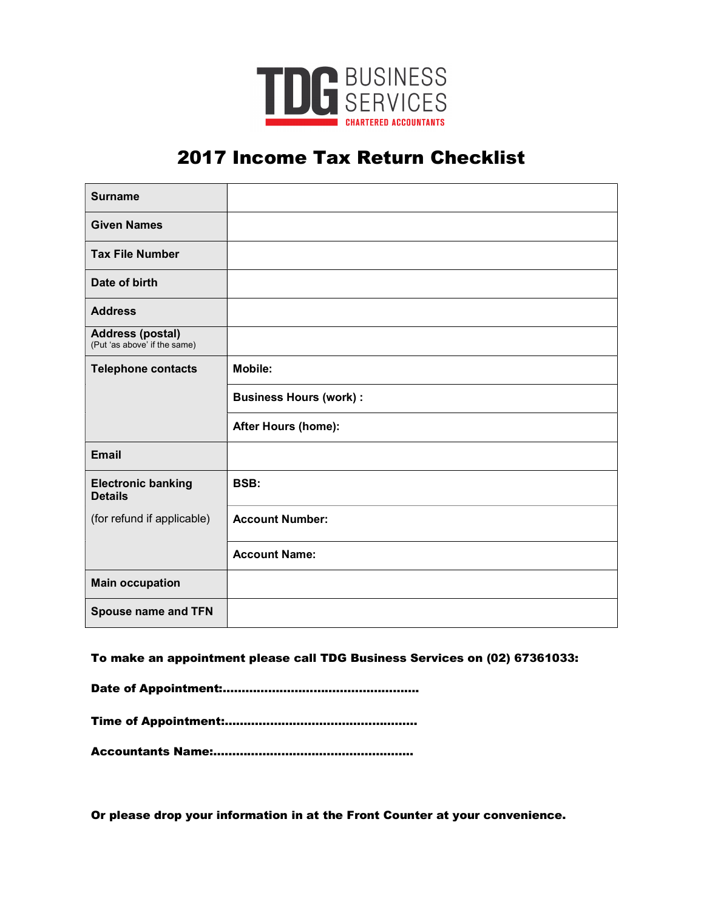

# 2017 Income Tax Return Checklist

| <b>Surname</b>                                          |                               |
|---------------------------------------------------------|-------------------------------|
| <b>Given Names</b>                                      |                               |
| <b>Tax File Number</b>                                  |                               |
| Date of birth                                           |                               |
| <b>Address</b>                                          |                               |
| <b>Address (postal)</b><br>(Put 'as above' if the same) |                               |
| <b>Telephone contacts</b>                               | <b>Mobile:</b>                |
|                                                         | <b>Business Hours (work):</b> |
|                                                         | After Hours (home):           |
| <b>Email</b>                                            |                               |
| <b>Electronic banking</b><br><b>Details</b>             | BSB:                          |
| (for refund if applicable)                              | <b>Account Number:</b>        |
|                                                         | <b>Account Name:</b>          |
| <b>Main occupation</b>                                  |                               |
| <b>Spouse name and TFN</b>                              |                               |

To make an appointment please call TDG Business Services on (02) 67361033:

Date of Appointment:…………………………………………….

Time of Appointment:……………………………………………

Accountants Name:……………………………………………..

Or please drop your information in at the Front Counter at your convenience.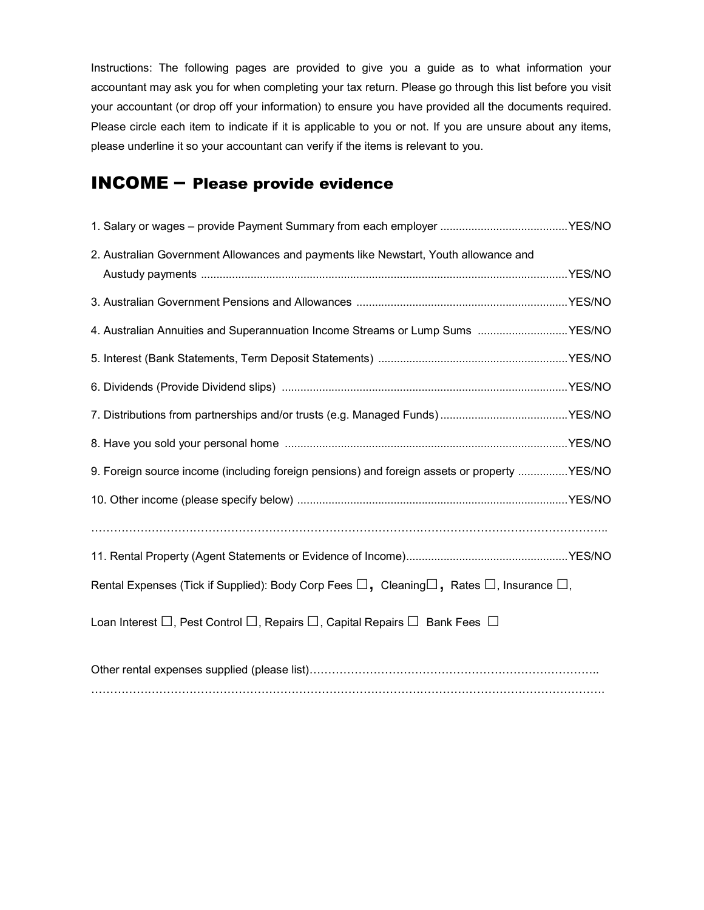Instructions: The following pages are provided to give you a guide as to what information your accountant may ask you for when completing your tax return. Please go through this list before you visit your accountant (or drop off your information) to ensure you have provided all the documents required. Please circle each item to indicate if it is applicable to you or not. If you are unsure about any items, please underline it so your accountant can verify if the items is relevant to you.

## INCOME – Please provide evidence

| 2. Australian Government Allowances and payments like Newstart, Youth allowance and                             |  |
|-----------------------------------------------------------------------------------------------------------------|--|
|                                                                                                                 |  |
| 4. Australian Annuities and Superannuation Income Streams or Lump Sums YES/NO                                   |  |
|                                                                                                                 |  |
|                                                                                                                 |  |
|                                                                                                                 |  |
|                                                                                                                 |  |
| 9. Foreign source income (including foreign pensions) and foreign assets or property  YES/NO                    |  |
|                                                                                                                 |  |
|                                                                                                                 |  |
|                                                                                                                 |  |
| Rental Expenses (Tick if Supplied): Body Corp Fees $\Box$ , Cleaning $\Box$ , Rates $\Box$ , Insurance $\Box$ , |  |
| Loan Interest $\Box$ , Pest Control $\Box$ , Repairs $\Box$ , Capital Repairs $\Box$ Bank Fees $\Box$           |  |
|                                                                                                                 |  |

……………………………………………………………………………………………………………………….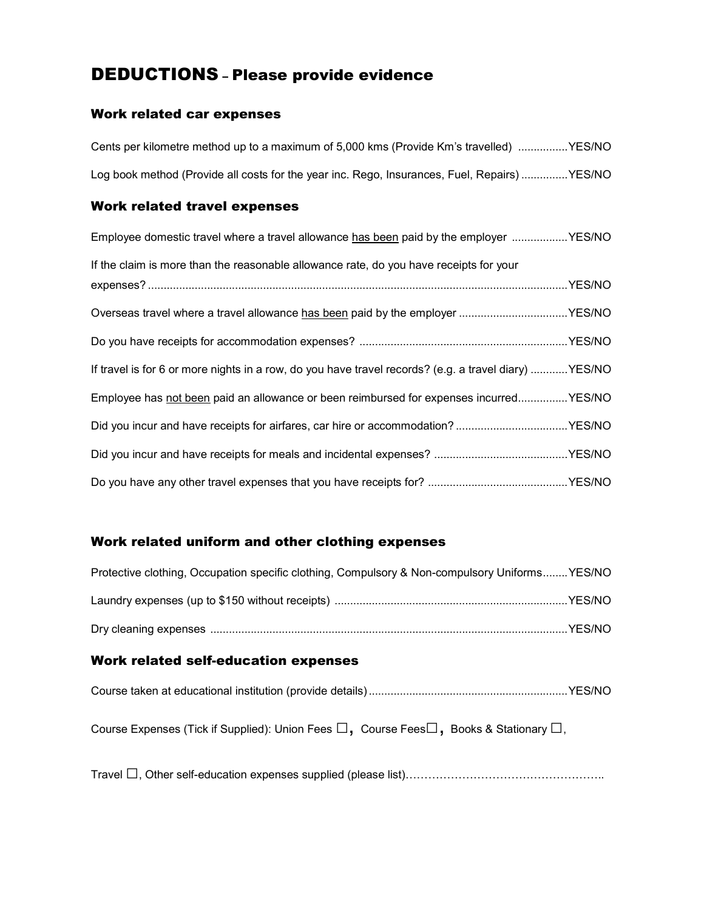# DEDUCTIONS – Please provide evidence

#### Work related car expenses

| Cents per kilometre method up to a maximum of 5,000 kms (Provide Km's travelled) YES/NO              |
|------------------------------------------------------------------------------------------------------|
| Log book method (Provide all costs for the year inc. Rego, Insurances, Fuel, Repairs) YES/NO         |
| <b>Work related travel expenses</b>                                                                  |
| Employee domestic travel where a travel allowance has been paid by the employer YES/NO               |
| If the claim is more than the reasonable allowance rate, do you have receipts for your               |
|                                                                                                      |
| Overseas travel where a travel allowance has been paid by the employer YES/NO                        |
|                                                                                                      |
| If travel is for 6 or more nights in a row, do you have travel records? (e.g. a travel diary) YES/NO |

Employee has not been paid an allowance or been reimbursed for expenses incurred ................ YES/NO

#### Work related uniform and other clothing expenses

| Protective clothing, Occupation specific clothing, Compulsory & Non-compulsory Uniforms YES/NO |  |
|------------------------------------------------------------------------------------------------|--|
|                                                                                                |  |
|                                                                                                |  |

#### Work related self-education expenses

|--|--|--|

Course Expenses (Tick if Supplied): Union Fees □, Course Fees□, Books & Stationary □,

Travel □, Other self-education expenses supplied (please list)……………………………………………..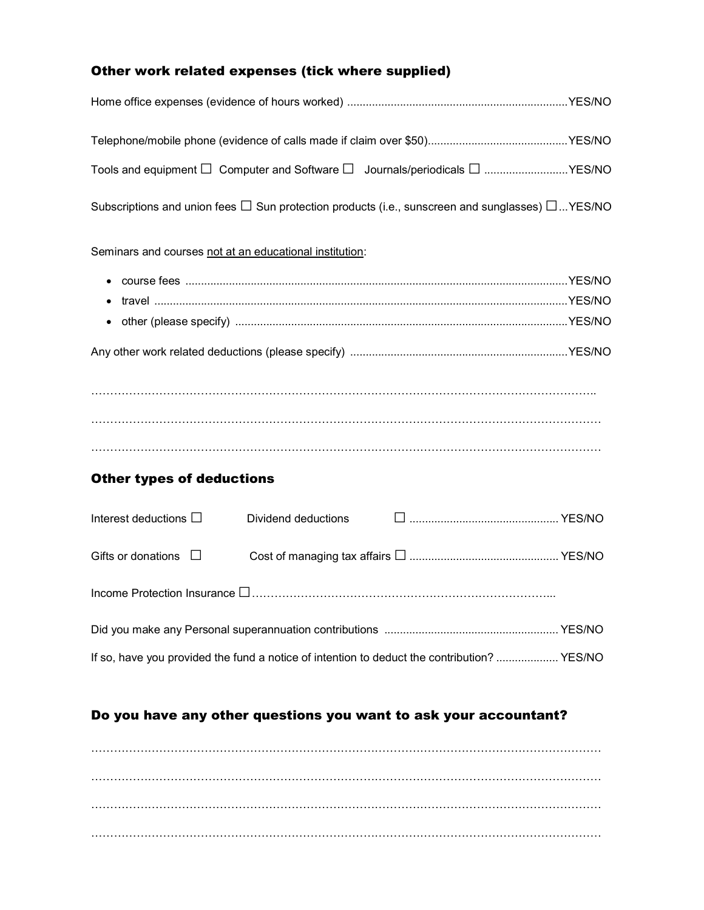## Other work related expenses (tick where supplied)

| Tools and equipment $\Box$ Computer and Software $\Box$ Journals/periodicals $\Box$ YES/NO                 |                            |  |  |
|------------------------------------------------------------------------------------------------------------|----------------------------|--|--|
| Subscriptions and union fees $\Box$ Sun protection products (i.e., sunscreen and sunglasses) $\Box$ YES/NO |                            |  |  |
| Seminars and courses not at an educational institution:                                                    |                            |  |  |
|                                                                                                            |                            |  |  |
|                                                                                                            |                            |  |  |
|                                                                                                            |                            |  |  |
|                                                                                                            |                            |  |  |
|                                                                                                            |                            |  |  |
|                                                                                                            |                            |  |  |
|                                                                                                            |                            |  |  |
|                                                                                                            |                            |  |  |
| <b>Other types of deductions</b>                                                                           |                            |  |  |
| Interest deductions $\Box$                                                                                 | <b>Dividend deductions</b> |  |  |
| Gifts or donations $\Box$                                                                                  |                            |  |  |
|                                                                                                            |                            |  |  |
|                                                                                                            |                            |  |  |
| If so, have you provided the fund a notice of intention to deduct the contribution?  YES/NO                |                            |  |  |

## Do you have any other questions you want to ask your accountant?

……………………………………………………………………………………………………………………… ……………………………………………………………………………………………………………………… ……………………………………………………………………………………………………………………… ………………………………………………………………………………………………………………………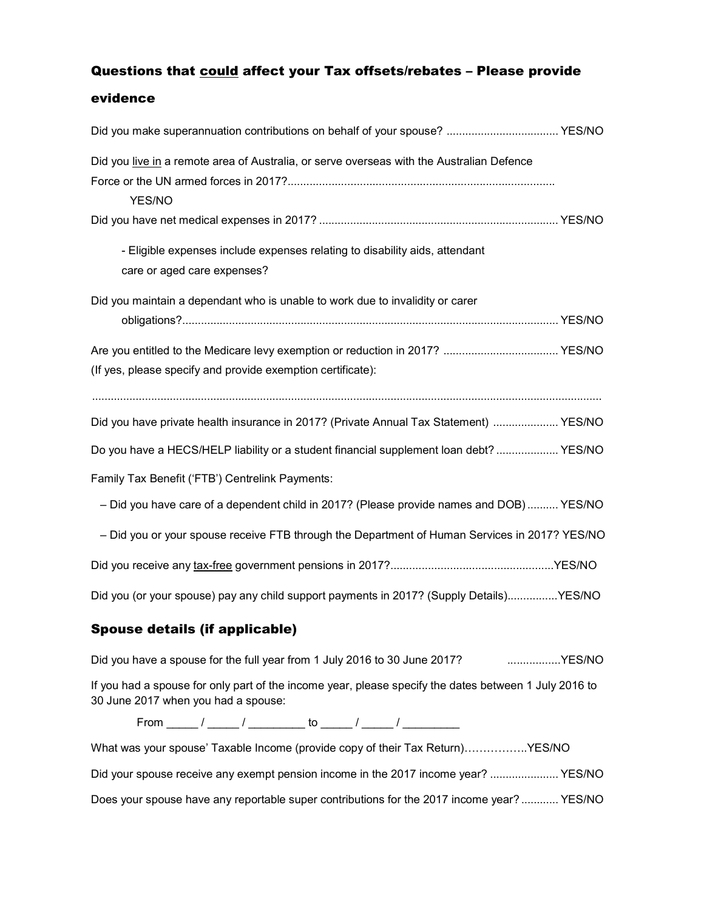### Questions that could affect your Tax offsets/rebates - Please provide

#### evidence

| Did you make superannuation contributions on behalf of your spouse?  YES/NO                   |
|-----------------------------------------------------------------------------------------------|
|                                                                                               |
|                                                                                               |
|                                                                                               |
|                                                                                               |
|                                                                                               |
|                                                                                               |
|                                                                                               |
|                                                                                               |
|                                                                                               |
|                                                                                               |
| Did you have private health insurance in 2017? (Private Annual Tax Statement)  YES/NO         |
| Do you have a HECS/HELP liability or a student financial supplement loan debt? YES/NO         |
|                                                                                               |
| - Did you have care of a dependent child in 2017? (Please provide names and DOB) YES/NO       |
| - Did you or your spouse receive FTB through the Department of Human Services in 2017? YES/NO |
|                                                                                               |
| Did you (or your spouse) pay any child support payments in 2017? (Supply Details)YES/NO       |
|                                                                                               |

## Spouse details (if applicable)

Did you have a spouse for the full year from 1 July 2016 to 30 June 2017? .....................YES/NO

If you had a spouse for only part of the income year, please specify the dates between 1 July 2016 to 30 June 2017 when you had a spouse:

From  $/$   $/$   $/$   $\sim$  to  $/$   $/$ 

| What was your spouse' Taxable Income (provide copy of their Tax Return)YES/NO             |  |
|-------------------------------------------------------------------------------------------|--|
| Did your spouse receive any exempt pension income in the 2017 income year?  YES/NO        |  |
| Does your spouse have any reportable super contributions for the 2017 income year? YES/NO |  |